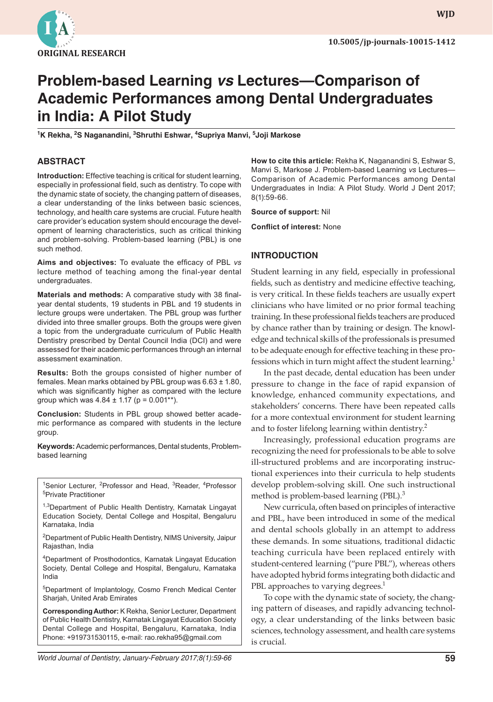

**wjd WJD**

# **Problem-based Learning vs Lectures—Comparison of Academic Performances among Dental Undergraduates in India: A Pilot Study**

**1 K Rekha, <sup>2</sup> S Naganandini, 3 Shruthi Eshwar, 4 Supriya Manvi, 5 Joji Markose**

#### **ABSTRACT**

**Introduction:** Effective teaching is critical for student learning, especially in professional field, such as dentistry. To cope with the dynamic state of society, the changing pattern of diseases, a clear understanding of the links between basic sciences, technology, and health care systems are crucial. Future health care provider's education system should encourage the development of learning characteristics, such as critical thinking and problem-solving. Problem-based learning (PBL) is one such method.

**Aims and objectives:** To evaluate the efficacy of PBL *vs* lecture method of teaching among the final-year dental undergraduates.

**Materials and methods:** A comparative study with 38 finalyear dental students, 19 students in PBL and 19 students in lecture groups were undertaken. The PBL group was further divided into three smaller groups. Both the groups were given a topic from the undergraduate curriculum of Public Health Dentistry prescribed by Dental Council India (DCI) and were assessed for their academic performances through an internal assessment examination.

**Results:** Both the groups consisted of higher number of females. Mean marks obtained by PBL group was  $6.63 \pm 1.80$ , which was significantly higher as compared with the lecture group which was  $4.84 \pm 1.17$  (p = 0.001\*\*).

**Conclusion:** Students in PBL group showed better academic performance as compared with students in the lecture group.

**Keywords:** Academic performances, Dental students, Problembased learning

<sup>1</sup>Senior Lecturer, <sup>2</sup>Professor and Head, <sup>3</sup>Reader, <sup>4</sup>Professor 5 Private Practitioner

<sup>1,3</sup>Department of Public Health Dentistry, Karnatak Lingayat Education Society, Dental College and Hospital, Bengaluru Karnataka, India

<sup>2</sup>Department of Public Health Dentistry, NIMS University, Jaipur Rajasthan, India

4 Department of Prosthodontics, Karnatak Lingayat Education Society, Dental College and Hospital, Bengaluru, Karnataka India

5 Department of Implantology, Cosmo French Medical Center Sharjah, United Arab Emirates

**Corresponding Author:** K Rekha, Senior Lecturer, Department of Public Health Dentistry, Karnatak Lingayat Education Society Dental College and Hospital, Bengaluru, Karnataka, India Phone: +919731530115, e-mail: rao.rekha95@gmail.com

**How to cite this article:** Rekha K, Naganandini S, Eshwar S, Manvi S, Markose J. Problem-based Learning *vs* Lectures— Comparison of Academic Performances among Dental Undergraduates in India: A Pilot Study. World J Dent 2017; 8(1):59-66.

**Source of support:** Nil

**Conflict of interest:** None

#### **INTRODUCTION**

Student learning in any field, especially in professional fields, such as dentistry and medicine effective teaching, is very critical. In these fields teachers are usually expert clinicians who have limited or no prior formal teaching training. In these professional fields teachers are produced by chance rather than by training or design. The knowledge and technical skills of the professionals is presumed to be adequate enough for effective teaching in these professions which in turn might affect the student learning.<sup>1</sup>

In the past decade, dental education has been under pressure to change in the face of rapid expansion of knowledge, enhanced community expectations, and stakeholders' concerns. There have been repeated calls for a more contextual environment for student learning and to foster lifelong learning within dentistry.<sup>2</sup>

Increasingly, professional education programs are recognizing the need for professionals to be able to solve ill-structured problems and are incorporating instructional experiences into their curricula to help students develop problem-solving skill. One such instructional method is problem-based learning (PBL).<sup>3</sup>

New curricula, often based on principles of interactive and PBL, have been introduced in some of the medical and dental schools globally in an attempt to address these demands. In some situations, traditional didactic teaching curricula have been replaced entirely with student-centered learning ("pure PBL"), whereas others have adopted hybrid forms integrating both didactic and PBL approaches to varying degrees.<sup>1</sup>

To cope with the dynamic state of society, the changing pattern of diseases, and rapidly advancing technology, a clear understanding of the links between basic sciences, technology assessment, and health care systems is crucial.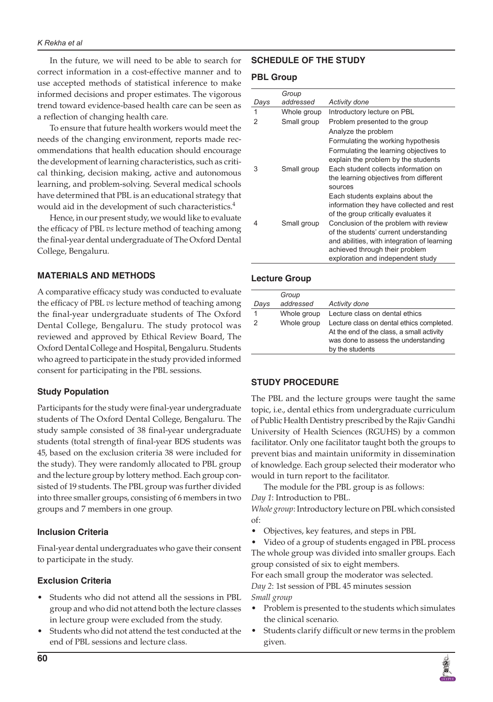In the future, we will need to be able to search for correct information in a cost-effective manner and to use accepted methods of statistical inference to make informed decisions and proper estimates. The vigorous trend toward evidence-based health care can be seen as a reflection of changing health care.

To ensure that future health workers would meet the needs of the changing environment, reports made recommendations that health education should encourage the development of learning characteristics, such as critical thinking, decision making, active and autonomous learning, and problem-solving. Several medical schools have determined that PBL is an educational strategy that would aid in the development of such characteristics.<sup>4</sup>

Hence, in our present study, we would like to evaluate the efficacy of PBL *vs* lecture method of teaching among the final-year dental undergraduate of The Oxford Dental College, Bengaluru.

# **MATERIALS AND METHODS**

A comparative efficacy study was conducted to evaluate the efficacy of PBL *vs* lecture method of teaching among the final-year undergraduate students of The Oxford Dental College, Bengaluru. The study protocol was reviewed and approved by Ethical Review Board, The Oxford Dental College and Hospital, Bengaluru. Students who agreed to participate in the study provided informed consent for participating in the PBL sessions.

# **Study Population**

Participants for the study were final-year undergraduate students of The Oxford Dental College, Bengaluru. The study sample consisted of 38 final-year undergraduate students (total strength of final-year BDS students was 45, based on the exclusion criteria 38 were included for the study). They were randomly allocated to PBL group and the lecture group by lottery method. Each group consisted of 19 students. The PBL group was further divided into three smaller groups, consisting of 6 members in two groups and 7 members in one group.

# **Inclusion Criteria**

Final-year dental undergraduates who gave their consent to participate in the study.

# **Exclusion Criteria**

- Students who did not attend all the sessions in PBL group and who did not attend both the lecture classes in lecture group were excluded from the study.
- Students who did not attend the test conducted at the end of PBL sessions and lecture class.

# **SCHEDULE OF THE STUDY**

# **PBL Group**

|      | Group       |                                             |
|------|-------------|---------------------------------------------|
| Days | addressed   | Activity done                               |
| 1    | Whole group | Introductory lecture on PBL                 |
| 2    | Small group | Problem presented to the group              |
|      |             | Analyze the problem                         |
|      |             | Formulating the working hypothesis          |
|      |             | Formulating the learning objectives to      |
|      |             | explain the problem by the students         |
| 3    | Small group | Each student collects information on        |
|      |             | the learning objectives from different      |
|      |             | sources                                     |
|      |             | Each students explains about the            |
|      |             | information they have collected and rest    |
|      |             | of the group critically evaluates it        |
| 4    | Small group | Conclusion of the problem with review       |
|      |             | of the students' current understanding      |
|      |             | and abilities, with integration of learning |
|      |             | achieved through their problem              |
|      |             | exploration and independent study           |

# **Lecture Group**

| Days | Group<br>addressed | <b>Activity done</b>                                                                                                                              |
|------|--------------------|---------------------------------------------------------------------------------------------------------------------------------------------------|
|      |                    |                                                                                                                                                   |
| 1    | Whole group        | Lecture class on dental ethics                                                                                                                    |
| 2    | Whole group        | Lecture class on dental ethics completed.<br>At the end of the class, a small activity<br>was done to assess the understanding<br>by the students |

# **STUDY PROCEDURE**

The PBL and the lecture groups were taught the same topic, i.e., dental ethics from undergraduate curriculum of Public Health Dentistry prescribed by the Rajiv Gandhi University of Health Sciences (RGUHS) by a common facilitator. Only one facilitator taught both the groups to prevent bias and maintain uniformity in dissemination of knowledge. Each group selected their moderator who would in turn report to the facilitator.

The module for the PBL group is as follows: *Day 1*: Introduction to PBL.

*Whole group*: Introductory lecture on PBL which consisted of:

Objectives, key features, and steps in PBL

Video of a group of students engaged in PBL process The whole group was divided into smaller groups. Each group consisted of six to eight members.

For each small group the moderator was selected. *Day 2*: 1st session of PBL 45 minutes session *Small group*

- Problem is presented to the students which simulates the clinical scenario.
- Students clarify difficult or new terms in the problem given.

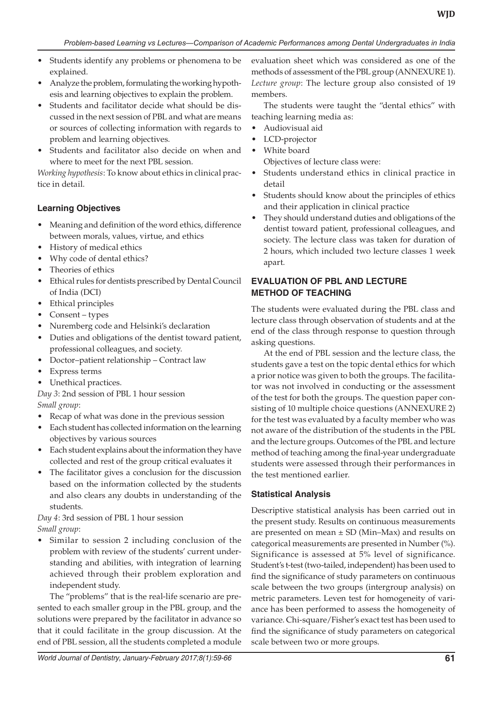- Students identify any problems or phenomena to be explained.
- Analyze the problem, formulating the working hypothesis and learning objectives to explain the problem.
- Students and facilitator decide what should be discussed in the next session of PBL and what are means or sources of collecting information with regards to problem and learning objectives.
- Students and facilitator also decide on when and where to meet for the next PBL session.

*Working hypothesis*: To know about ethics in clinical practice in detail.

# **Learning Objectives**

- Meaning and definition of the word ethics, difference between morals, values, virtue, and ethics
- History of medical ethics
- Why code of dental ethics?
- Theories of ethics
- Ethical rules for dentists prescribed by Dental Council of India (DCI)
- Ethical principles
- Consent types
- Nuremberg code and Helsinki's declaration
- Duties and obligations of the dentist toward patient, professional colleagues, and society.
- Doctor–patient relationship Contract law
- Express terms
- Unethical practices.

# *Day 3*: 2nd session of PBL 1 hour session *Small group*:

- Recap of what was done in the previous session
- Each student has collected information on the learning objectives by various sources
- Each student explains about the information they have collected and rest of the group critical evaluates it
- The facilitator gives a conclusion for the discussion based on the information collected by the students and also clears any doubts in understanding of the students.

# *Day 4*: 3rd session of PBL 1 hour session *Small group*:

Similar to session 2 including conclusion of the problem with review of the students' current understanding and abilities, with integration of learning achieved through their problem exploration and independent study.

The "problems" that is the real-life scenario are presented to each smaller group in the PBL group, and the solutions were prepared by the facilitator in advance so that it could facilitate in the group discussion. At the end of PBL session, all the students completed a module evaluation sheet which was considered as one of the methods of assessment of the PBL group (ANNEXURE 1). *Lecture group*: The lecture group also consisted of 19 members.

The students were taught the "dental ethics" with teaching learning media as:

- • Audiovisual aid
- LCD-projector
- • White board

Objectives of lecture class were:

- Students understand ethics in clinical practice in detail
- Students should know about the principles of ethics and their application in clinical practice
- They should understand duties and obligations of the dentist toward patient, professional colleagues, and society. The lecture class was taken for duration of 2 hours, which included two lecture classes 1 week apart.

# **EVALUATION OF PBL AND LECTURE METHOD OF TEACHING**

The students were evaluated during the PBL class and lecture class through observation of students and at the end of the class through response to question through asking questions.

At the end of PBL session and the lecture class, the students gave a test on the topic dental ethics for which a prior notice was given to both the groups. The facilitator was not involved in conducting or the assessment of the test for both the groups. The question paper consisting of 10 multiple choice questions (ANNEXURE 2) for the test was evaluated by a faculty member who was not aware of the distribution of the students in the PBL and the lecture groups. Outcomes of the PBL and lecture method of teaching among the final-year undergraduate students were assessed through their performances in the test mentioned earlier.

# **Statistical Analysis**

Descriptive statistical analysis has been carried out in the present study. Results on continuous measurements are presented on mean  $\pm$  SD (Min–Max) and results on categorical measurements are presented in Number (%). Significance is assessed at 5% level of significance. Student's t-test (two-tailed, independent) has been used to find the significance of study parameters on continuous scale between the two groups (intergroup analysis) on metric parameters. Leven test for homogeneity of variance has been performed to assess the homogeneity of variance. Chi-square/Fisher's exact test has been used to find the significance of study parameters on categorical scale between two or more groups.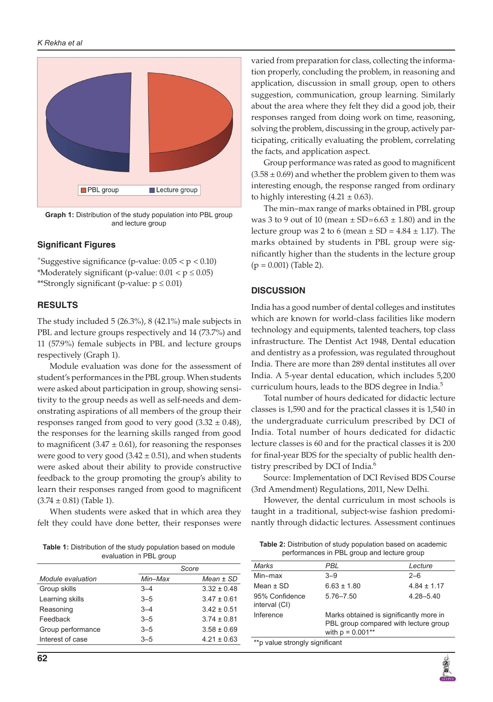

**Graph 1:** Distribution of the study population into PBL group and lecture group

#### **Significant Figures**

 $+$ Suggestive significance (p-value:  $0.05 < p < 0.10$ ) \*Moderately significant (p-value:  $0.01 < p \leq 0.05$ ) \*\*Strongly significant (p-value:  $p \le 0.01$ )

#### **RESULTS**

The study included 5 (26.3%), 8 (42.1%) male subjects in PBL and lecture groups respectively and 14 (73.7%) and 11 (57.9%) female subjects in PBL and lecture groups respectively (Graph 1).

Module evaluation was done for the assessment of student's performances in the PBL group. When students were asked about participation in group, showing sensitivity to the group needs as well as self-needs and demonstrating aspirations of all members of the group their responses ranged from good to very good  $(3.32 \pm 0.48)$ , the responses for the learning skills ranged from good to magnificent  $(3.47 \pm 0.61)$ , for reasoning the responses were good to very good  $(3.42 \pm 0.51)$ , and when students were asked about their ability to provide constructive feedback to the group promoting the group's ability to learn their responses ranged from good to magnificent  $(3.74 \pm 0.81)$  (Table 1).

When students were asked that in which area they felt they could have done better, their responses were varied from preparation for class, collecting the information properly, concluding the problem, in reasoning and application, discussion in small group, open to others suggestion, communication, group learning. Similarly about the area where they felt they did a good job, their responses ranged from doing work on time, reasoning, solving the problem, discussing in the group, actively participating, critically evaluating the problem, correlating the facts, and application aspect.

Group performance was rated as good to magnificent  $(3.58 \pm 0.69)$  and whether the problem given to them was interesting enough, the response ranged from ordinary to highly interesting  $(4.21 \pm 0.63)$ .

The min–max range of marks obtained in PBL group was 3 to 9 out of 10 (mean  $\pm$  SD=6.63  $\pm$  1.80) and in the lecture group was 2 to 6 (mean  $\pm$  SD = 4.84  $\pm$  1.17). The marks obtained by students in PBL group were significantly higher than the students in the lecture group  $(p = 0.001)$  (Table 2).

#### **DISCUSSION**

India has a good number of dental colleges and institutes which are known for world-class facilities like modern technology and equipments, talented teachers, top class infrastructure. The Dentist Act 1948, Dental education and dentistry as a profession, was regulated throughout India. There are more than 289 dental institutes all over India. A 5-year dental education, which includes 5,200 curriculum hours, leads to the BDS degree in India.<sup>5</sup>

Total number of hours dedicated for didactic lecture classes is 1,590 and for the practical classes it is 1,540 in the undergraduate curriculum prescribed by DCI of India. Total number of hours dedicated for didactic lecture classes is 60 and for the practical classes it is 200 for final-year BDS for the specialty of public health dentistry prescribed by DCI of India.<sup>6</sup>

Source: Implementation of DCI Revised BDS Course (3rd Amendment) Regulations, 2011, New Delhi.

However, the dental curriculum in most schools is taught in a traditional, subject-wise fashion predominantly through didactic lectures. Assessment continues

| <b>Fable 1:</b> Distribution of the study population based on module |  |
|----------------------------------------------------------------------|--|
| evaluation in PBL group                                              |  |

**Table 2:** Distribution of study population based on academic performances in PBL group and lecture group

|                   | Score   |                 | Marks                          | <b>PBL</b>                                                  | Lecture         |  |
|-------------------|---------|-----------------|--------------------------------|-------------------------------------------------------------|-----------------|--|
| Module evaluation | Min–Max | $Mean \pm SD$   | Min-max                        | $3 - 9$                                                     | $2 - 6$         |  |
| Group skills      | $3 - 4$ | $3.32 \pm 0.48$ | Mean $\pm$ SD                  | $6.63 \pm 1.80$                                             | $4.84 \pm 1.17$ |  |
| Learning skills   | $3 - 5$ | $3.47 \pm 0.61$ | 95% Confidence                 | $5.76 - 7.50$                                               | $4.28 - 5.40$   |  |
| Reasoning         | $3 - 4$ | $3.42 \pm 0.51$ | interval (CI)                  |                                                             |                 |  |
| Feedback          | $3 - 5$ | $3.74 \pm 0.81$ | Inference                      | Marks obtained is significantly more in                     |                 |  |
| Group performance | $3 - 5$ | $3.58 \pm 0.69$ |                                | PBL group compared with lecture group<br>with $p = 0.001**$ |                 |  |
| Interest of case  | $3 - 5$ | $4.21 \pm 0.63$ | **p value strongly significant |                                                             |                 |  |
|                   |         |                 |                                |                                                             |                 |  |

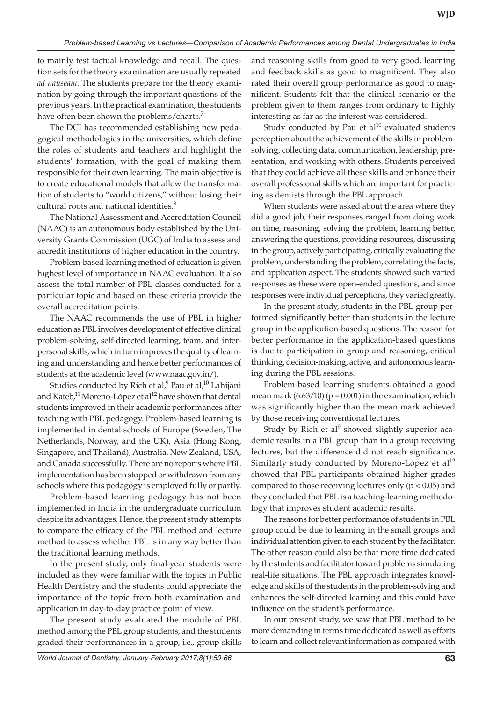to mainly test factual knowledge and recall. The question sets for the theory examination are usually repeated *ad nauseam*. The students prepare for the theory examination by going through the important questions of the previous years. In the practical examination, the students have often been shown the problems/charts.<sup>7</sup>

The DCI has recommended establishing new pedagogical methodologies in the universities, which define the roles of students and teachers and highlight the students' formation, with the goal of making them responsible for their own learning. The main objective is to create educational models that allow the transformation of students to "world citizens," without losing their cultural roots and national identities.<sup>8</sup>

The National Assessment and Accreditation Council (NAAC) is an autonomous body established by the University Grants Commission (UGC) of India to assess and accredit institutions of higher education in the country.

Problem-based learning method of education is given highest level of importance in NAAC evaluation. It also assess the total number of PBL classes conducted for a particular topic and based on these criteria provide the overall accreditation points.

The NAAC recommends the use of PBL in higher education as PBL involves development of effective clinical problem-solving, self-directed learning, team, and interpersonal skills, which in turn improves the quality of learning and understanding and hence better performances of students at the academic level (www.naac.gov.in/).

Studies conducted by Rich et al, $^9$  Pau et al, $^{10}$  Lahijani and Kateb,<sup>11</sup> Moreno-López et al<sup>12</sup> have shown that dental students improved in their academic performances after teaching with PBL pedagogy. Problem-based learning is implemented in dental schools of Europe (Sweden, The Netherlands, Norway, and the UK), Asia (Hong Kong, Singapore, and Thailand), Australia, New Zealand, USA, and Canada successfully. There are no reports where PBL implementation has been stopped or withdrawn from any schools where this pedagogy is employed fully or partly.

Problem-based learning pedagogy has not been implemented in India in the undergraduate curriculum despite its advantages. Hence, the present study attempts to compare the efficacy of the PBL method and lecture method to assess whether PBL is in any way better than the traditional learning methods.

In the present study, only final-year students were included as they were familiar with the topics in Public Health Dentistry and the students could appreciate the importance of the topic from both examination and application in day-to-day practice point of view.

The present study evaluated the module of PBL method among the PBL group students, and the students graded their performances in a group, i.e., group skills

and reasoning skills from good to very good, learning and feedback skills as good to magnificent. They also rated their overall group performance as good to magnificent. Students felt that the clinical scenario or the problem given to them ranges from ordinary to highly interesting as far as the interest was considered.

Study conducted by Pau et  $al^{10}$  evaluated students perception about the achievement of the skills in problemsolving, collecting data, communication, leadership, presentation, and working with others. Students perceived that they could achieve all these skills and enhance their overall professional skills which are important for practicing as dentists through the PBL approach.

When students were asked about the area where they did a good job, their responses ranged from doing work on time, reasoning, solving the problem, learning better, answering the questions, providing resources, discussing in the group, actively participating, critically evaluating the problem, understanding the problem, correlating the facts, and application aspect. The students showed such varied responses as these were open-ended questions, and since responses were individual perceptions, they varied greatly.

In the present study, students in the PBL group performed significantly better than students in the lecture group in the application-based questions. The reason for better performance in the application-based questions is due to participation in group and reasoning, critical thinking, decision-making, active, and autonomous learning during the PBL sessions.

Problem-based learning students obtained a good mean mark  $(6.63/10)$  (p = 0.001) in the examination, which was significantly higher than the mean mark achieved by those receiving conventional lectures.

Study by Rich et al<sup>9</sup> showed slightly superior academic results in a PBL group than in a group receiving lectures, but the difference did not reach significance. Similarly study conducted by Moreno-López et al<sup>12</sup> showed that PBL participants obtained higher grades compared to those receiving lectures only  $(p < 0.05)$  and they concluded that PBL is a teaching-learning methodology that improves student academic results.

The reasons for better performance of students in PBL group could be due to learning in the small groups and individual attention given to each student by the facilitator. The other reason could also be that more time dedicated by the students and facilitator toward problems simulating real-life situations. The PBL approach integrates knowledge and skills of the students in the problem-solving and enhances the self-directed learning and this could have influence on the student's performance.

In our present study, we saw that PBL method to be more demanding in terms time dedicated as well as efforts to learn and collect relevant information as compared with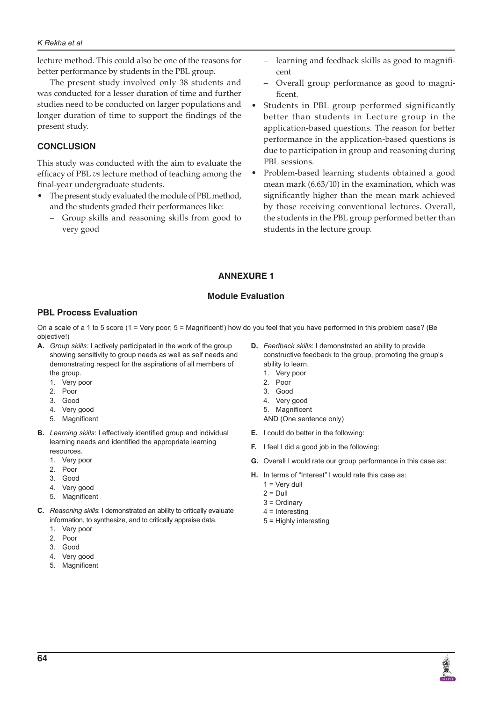#### *K Rekha et al*

lecture method. This could also be one of the reasons for better performance by students in the PBL group.

The present study involved only 38 students and was conducted for a lesser duration of time and further studies need to be conducted on larger populations and longer duration of time to support the findings of the present study.

# **CONCLUSION**

This study was conducted with the aim to evaluate the efficacy of PBL *vs* lecture method of teaching among the final-year undergraduate students.

- The present study evaluated the module of PBL method, and the students graded their performances like:
	- – Group skills and reasoning skills from good to very good
- – learning and feedback skills as good to magnificent
- Overall group performance as good to magnificent.
- Students in PBL group performed significantly better than students in Lecture group in the application-based questions. The reason for better performance in the application-based questions is due to participation in group and reasoning during PBL sessions.
- Problem-based learning students obtained a good mean mark (6.63/10) in the examination, which was significantly higher than the mean mark achieved by those receiving conventional lectures. Overall, the students in the PBL group performed better than students in the lecture group.

# **Annexure 1**

#### **Module Evaluation**

# **PBL Process Evaluation**

On a scale of a 1 to 5 score (1 = Very poor; 5 = Magnificent!) how do you feel that you have performed in this problem case? (Be objective!)

- **A.** *Group skills:* I actively participated in the work of the group showing sensitivity to group needs as well as self needs and demonstrating respect for the aspirations of all members of the group.
	- 1. Very poor
	- 2. Poor
	- 3. Good
	- 4. Very good
	- 5. Magnificent
- **B.** *Learning skills*: I effectively identified group and individual learning needs and identified the appropriate learning resources.
	- 1. Very poor
	- 2. Poor
	- 3. Good
	- 4. Very good
	- 5. Magnificent
- **C.** *Reasoning skills*: I demonstrated an ability to critically evaluate information, to synthesize, and to critically appraise data.
	- 1. Very poor
	- 2. Poor
	- 3. Good
	- 4. Very good
	- 5. Magnificent
- **D.** *Feedback skills*: I demonstrated an ability to provide constructive feedback to the group, promoting the group's ability to learn.
	- 1. Very poor
	- 2. Poor
	- 3. Good
	- 4. Very good
	- 5. Magnificent
	- AND (One sentence only)
- **E.** I could do better in the following:
- **F.** I feel I did a good job in the following:
- **G.** Overall I would rate our group performance in this case as:
- **H.** In terms of "Interest" I would rate this case as:
	- $1 =$  Very dull
	- $2 = D$ ull
	- 3 = Ordinary
	- 4 = Interesting 5 = Highly interesting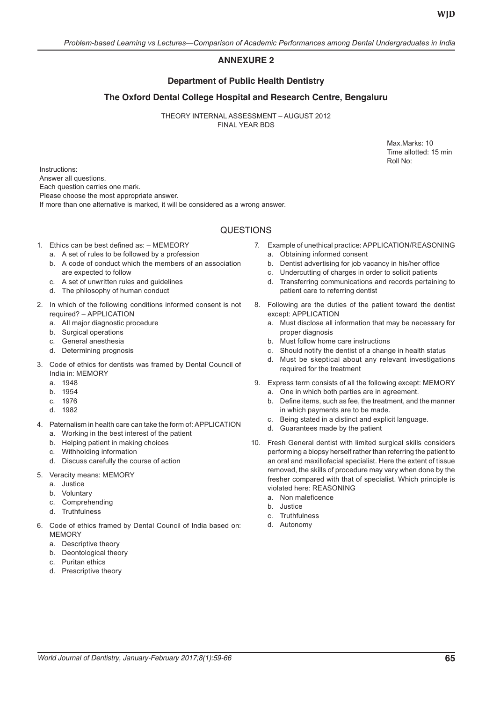# **Annexure 2**

# **Department of Public Health Dentistry**

# **The Oxford Dental College Hospital and Research Centre, Bengaluru**

THEORY INTERNAL ASSESSMENT – AUGUST 2012 FINAL YEAR BDS

> Max.Marks: 10 Time allotted: 15 min Roll No:

Instructions: Answer all questions. Each question carries one mark. Please choose the most appropriate answer. If more than one alternative is marked, it will be considered as a wrong answer.

# **QUESTIONS**

- 1. Ethics can be best defined as: MEMEORY
	- a. A set of rules to be followed by a profession
	- b. A code of conduct which the members of an association are expected to follow
	- c. A set of unwritten rules and guidelines
	- d. The philosophy of human conduct
- 2. In which of the following conditions informed consent is not required? – APPLICATION
	- a. All major diagnostic procedure
	- b. Surgical operations
	- c. General anesthesia
	- d. Determining prognosis
- 3. Code of ethics for dentists was framed by Dental Council of India in: MEMORY
	- a. 1948
	- b. 1954
	- c. 1976
	- d. 1982
- 4. Paternalism in health care can take the form of: APPLICATION a. Working in the best interest of the patient
	- b. Helping patient in making choices
	- c. Withholding information
	- d. Discuss carefully the course of action
- 5. Veracity means: MEMORY
	- a. Justice
	- b. Voluntary
	- c. Comprehending
	- d. Truthfulness
- 6. Code of ethics framed by Dental Council of India based on: MEMORY
	- a. Descriptive theory
	- b. Deontological theory
	- c. Puritan ethics
	- d. Prescriptive theory
- 7. Example of unethical practice: APPLICATION/REASONING
	- a. Obtaining informed consent
	- b. Dentist advertising for job vacancy in his/her office
	- c. Undercutting of charges in order to solicit patients
	- d. Transferring communications and records pertaining to patient care to referring dentist
- 8. Following are the duties of the patient toward the dentist except: APPLICATION
	- a. Must disclose all information that may be necessary for proper diagnosis
	- b. Must follow home care instructions
	- c. Should notify the dentist of a change in health status
	- d. Must be skeptical about any relevant investigations required for the treatment
- 9. Express term consists of all the following except: MEMORY a. One in which both parties are in agreement.
	- b. Define items, such as fee, the treatment, and the manner in which payments are to be made.
	- c. Being stated in a distinct and explicit language.
	- d. Guarantees made by the patient
- 10. Fresh General dentist with limited surgical skills considers performing a biopsy herself rather than referring the patient to an oral and maxillofacial specialist. Here the extent of tissue removed, the skills of procedure may vary when done by the fresher compared with that of specialist. Which principle is violated here: REASONING
	- a. Non maleficence
	- b. Justice
	- c. Truthfulness
	- d. Autonomy